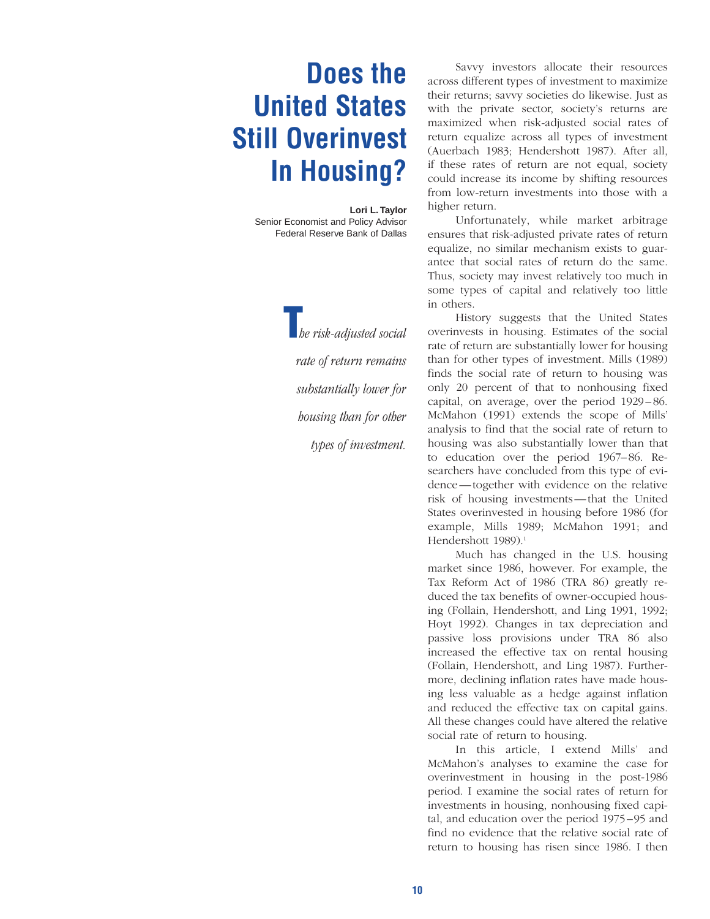# **Does the United States Still Overinvest In Housing?**

**Lori L. Taylor** Senior Economist and Policy Advisor Federal Reserve Bank of Dallas

> T*he risk-adjusted social rate of return remains substantially lower for housing than for other types of investment.*

Savvy investors allocate their resources across different types of investment to maximize their returns; savvy societies do likewise. Just as with the private sector, society's returns are maximized when risk-adjusted social rates of return equalize across all types of investment (Auerbach 1983; Hendershott 1987). After all, if these rates of return are not equal, society could increase its income by shifting resources from low-return investments into those with a higher return.

Unfortunately, while market arbitrage ensures that risk-adjusted private rates of return equalize, no similar mechanism exists to guarantee that social rates of return do the same. Thus, society may invest relatively too much in some types of capital and relatively too little in others.

History suggests that the United States overinvests in housing. Estimates of the social rate of return are substantially lower for housing than for other types of investment. Mills (1989) finds the social rate of return to housing was only 20 percent of that to nonhousing fixed capital, on average, over the period 1929 – 86. McMahon (1991) extends the scope of Mills' analysis to find that the social rate of return to housing was also substantially lower than that to education over the period 1967– 86. Researchers have concluded from this type of evidence—together with evidence on the relative risk of housing investments—that the United States overinvested in housing before 1986 (for example, Mills 1989; McMahon 1991; and Hendershott 1989).<sup>1</sup>

Much has changed in the U.S. housing market since 1986, however. For example, the Tax Reform Act of 1986 (TRA 86) greatly reduced the tax benefits of owner-occupied housing (Follain, Hendershott, and Ling 1991, 1992; Hoyt 1992). Changes in tax depreciation and passive loss provisions under TRA 86 also increased the effective tax on rental housing (Follain, Hendershott, and Ling 1987). Furthermore, declining inflation rates have made housing less valuable as a hedge against inflation and reduced the effective tax on capital gains. All these changes could have altered the relative social rate of return to housing.

In this article, I extend Mills' and McMahon's analyses to examine the case for overinvestment in housing in the post-1986 period. I examine the social rates of return for investments in housing, nonhousing fixed capital, and education over the period 1975 –95 and find no evidence that the relative social rate of return to housing has risen since 1986. I then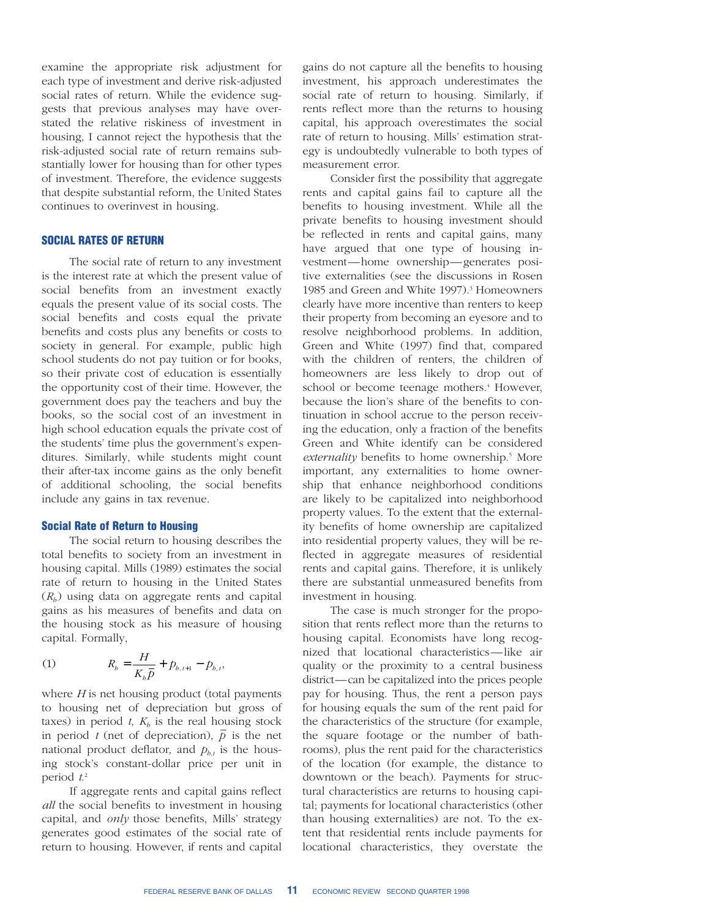examine the appropriate risk adjustment for each type of investment and derive risk-adjusted social rates of return. While the evidence suggests that previous analyses may have overstated the relative riskiness of investment in housing, I cannot reject the hypothesis that the risk-adjusted social rate of return remains substantially lower for housing than for other types of investment. Therefore, the evidence suggests that despite substantial reform, the United States continues to overinvest in housing.

### SOCIAL RATES OF RETURN

The social rate of return to any investment is the interest rate at which the present value of social benefits from an investment exactly equals the present value of its social costs. The social benefits and costs equal the private benefits and costs plus any benefits or costs to society in general. For example, public high school students do not pay tuition or for books, so their private cost of education is essentially the opportunity cost of their time. However, the government does pay the teachers and buy the books, so the social cost of an investment in high school education equals the private cost of the students' time plus the government's expenditures. Similarly, while students might count their after-tax income gains as the only benefit of additional schooling, the social benefits include any gains in tax revenue.

#### Social Rate of Return to Housing

The social return to housing describes the total benefits to society from an investment in housing capital. Mills (1989) estimates the social rate of return to housing in the United States  $(R_h)$  using data on aggregate rents and capital gains as his measures of benefits and data on the housing stock as his measure of housing capital. Formally,

(1) 
$$
R_b = \frac{H}{K_b \bar{p}} + p_{b,t+1} - p_{b,t},
$$

where *H* is net housing product (total payments to housing net of depreciation but gross of taxes) in period  $t$ ,  $K_h$  is the real housing stock in period *t* (net of depreciation),  $\overline{p}$  is the net national product deflator, and  $p_{h,t}$  is the housing stock's constant-dollar price per unit in period *t*. 2

If aggregate rents and capital gains reflect *all* the social benefits to investment in housing capital, and *only* those benefits, Mills' strategy generates good estimates of the social rate of return to housing. However, if rents and capital

gains do not capture all the benefits to housing investment, his approach underestimates the social rate of return to housing. Similarly, if rents reflect more than the returns to housing capital, his approach overestimates the social rate of return to housing. Mills' estimation strategy is undoubtedly vulnerable to both types of measurement error.

Consider first the possibility that aggregate rents and capital gains fail to capture all the benefits to housing investment. While all the private benefits to housing investment should be reflected in rents and capital gains, many have argued that one type of housing investment—home ownership—generates positive externalities (see the discussions in Rosen 1985 and Green and White 1997).<sup>3</sup> Homeowners clearly have more incentive than renters to keep their property from becoming an eyesore and to resolve neighborhood problems. In addition, Green and White (1997) find that, compared with the children of renters, the children of homeowners are less likely to drop out of school or become teenage mothers.<sup>4</sup> However, because the lion's share of the benefits to continuation in school accrue to the person receiving the education, only a fraction of the benefits Green and White identify can be considered *externality* benefits to home ownership.<sup>5</sup> More important, any externalities to home ownership that enhance neighborhood conditions are likely to be capitalized into neighborhood property values. To the extent that the externality benefits of home ownership are capitalized into residential property values, they will be reflected in aggregate measures of residential rents and capital gains. Therefore, it is unlikely there are substantial unmeasured benefits from investment in housing.

The case is much stronger for the proposition that rents reflect more than the returns to housing capital. Economists have long recognized that locational characteristics—like air quality or the proximity to a central business district—can be capitalized into the prices people pay for housing. Thus, the rent a person pays for housing equals the sum of the rent paid for the characteristics of the structure (for example, the square footage or the number of bathrooms), plus the rent paid for the characteristics of the location (for example, the distance to downtown or the beach). Payments for structural characteristics are returns to housing capital; payments for locational characteristics (other than housing externalities) are not. To the extent that residential rents include payments for locational characteristics, they overstate the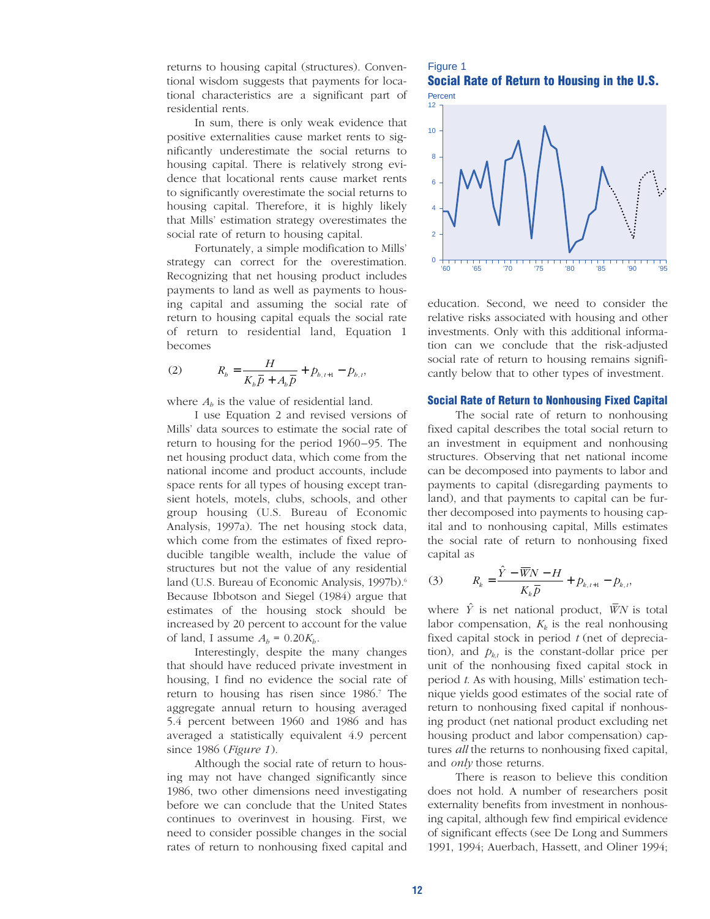returns to housing capital (structures). Conventional wisdom suggests that payments for locational characteristics are a significant part of residential rents.

In sum, there is only weak evidence that positive externalities cause market rents to significantly underestimate the social returns to housing capital. There is relatively strong evidence that locational rents cause market rents to significantly overestimate the social returns to housing capital. Therefore, it is highly likely that Mills' estimation strategy overestimates the social rate of return to housing capital.

Fortunately, a simple modification to Mills' strategy can correct for the overestimation. Recognizing that net housing product includes payments to land as well as payments to housing capital and assuming the social rate of return to housing capital equals the social rate of return to residential land, Equation 1 becomes

(2) 
$$
R_b = \frac{H}{K_b \overline{p} + A_b \overline{p}} + p_{b,t+1} - p_{b,t},
$$

where  $A_h$  is the value of residential land.

I use Equation 2 and revised versions of Mills' data sources to estimate the social rate of return to housing for the period 1960–95. The net housing product data, which come from the national income and product accounts, include space rents for all types of housing except transient hotels, motels, clubs, schools, and other group housing (U.S. Bureau of Economic Analysis, 1997a). The net housing stock data, which come from the estimates of fixed reproducible tangible wealth, include the value of structures but not the value of any residential land (U.S. Bureau of Economic Analysis, 1997b).<sup>6</sup> Because Ibbotson and Siegel (1984) argue that estimates of the housing stock should be increased by 20 percent to account for the value of land, I assume  $A_h = 0.20K_h$ .

Interestingly, despite the many changes that should have reduced private investment in housing, I find no evidence the social rate of return to housing has risen since 1986.<sup>7</sup> The aggregate annual return to housing averaged 5.4 percent between 1960 and 1986 and has averaged a statistically equivalent 4.9 percent since 1986 (*Figure 1*).

Although the social rate of return to housing may not have changed significantly since 1986, two other dimensions need investigating before we can conclude that the United States continues to overinvest in housing. First, we need to consider possible changes in the social rates of return to nonhousing fixed capital and

Figure 1 Social Rate of Return to Housing in the U.S.



education. Second, we need to consider the relative risks associated with housing and other investments. Only with this additional information can we conclude that the risk-adjusted social rate of return to housing remains significantly below that to other types of investment.

#### Social Rate of Return to Nonhousing Fixed Capital

The social rate of return to nonhousing fixed capital describes the total social return to an investment in equipment and nonhousing structures. Observing that net national income can be decomposed into payments to labor and payments to capital (disregarding payments to land), and that payments to capital can be further decomposed into payments to housing capital and to nonhousing capital, Mills estimates the social rate of return to nonhousing fixed capital as

(3) 
$$
R_{k} = \frac{\hat{Y} - \overline{W}N - H}{K_{k}\overline{p}} + p_{k,t+1} - p_{k,t},
$$

where  $\hat{Y}$  is net national product,  $\bar{W}N$  is total labor compensation,  $K<sub>k</sub>$  is the real nonhousing fixed capital stock in period *t* (net of depreciation), and  $p_{kt}$  is the constant-dollar price per unit of the nonhousing fixed capital stock in period *t*. As with housing, Mills' estimation technique yields good estimates of the social rate of return to nonhousing fixed capital if nonhousing product (net national product excluding net housing product and labor compensation) captures *all* the returns to nonhousing fixed capital, and *only* those returns.

There is reason to believe this condition does not hold. A number of researchers posit externality benefits from investment in nonhousing capital, although few find empirical evidence of significant effects (see De Long and Summers 1991, 1994; Auerbach, Hassett, and Oliner 1994;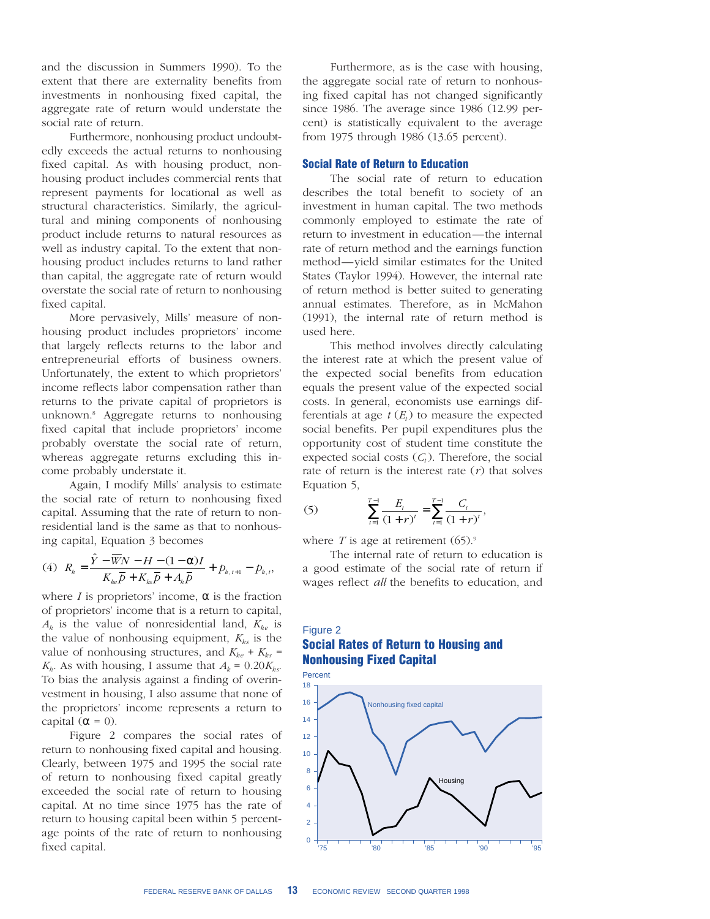and the discussion in Summers 1990). To the extent that there are externality benefits from investments in nonhousing fixed capital, the aggregate rate of return would understate the social rate of return.

Furthermore, nonhousing product undoubtedly exceeds the actual returns to nonhousing fixed capital. As with housing product, nonhousing product includes commercial rents that represent payments for locational as well as structural characteristics. Similarly, the agricultural and mining components of nonhousing product include returns to natural resources as well as industry capital. To the extent that nonhousing product includes returns to land rather than capital, the aggregate rate of return would overstate the social rate of return to nonhousing fixed capital.

More pervasively, Mills' measure of nonhousing product includes proprietors' income that largely reflects returns to the labor and entrepreneurial efforts of business owners. Unfortunately, the extent to which proprietors' income reflects labor compensation rather than returns to the private capital of proprietors is unknown.8 Aggregate returns to nonhousing fixed capital that include proprietors' income probably overstate the social rate of return, whereas aggregate returns excluding this income probably understate it.

Again, I modify Mills' analysis to estimate the social rate of return to nonhousing fixed capital. Assuming that the rate of return to nonresidential land is the same as that to nonhousing capital, Equation 3 becomes

(4) 
$$
R_{k} = \frac{\hat{Y} - \overline{W}N - H - (1 - \alpha)I}{K_{ke}\overline{p} + K_{ks}\overline{p} + A_{k}\overline{p}} + p_{k,t+1} - p_{k,t},
$$

where *I* is proprietors' income,  $\alpha$  is the fraction of proprietors' income that is a return to capital,  $A_k$  is the value of nonresidential land,  $K_{k\rho}$  is the value of nonhousing equipment,  $K_{ks}$  is the value of nonhousing structures, and  $K_{ke} + K_{ks} =$  $K_k$ . As with housing, I assume that  $A_k = 0.20K_{k_{\rm s}}$ . To bias the analysis against a finding of overinvestment in housing, I also assume that none of the proprietors' income represents a return to capital  $(\alpha = 0)$ .

Figure 2 compares the social rates of return to nonhousing fixed capital and housing. Clearly, between 1975 and 1995 the social rate of return to nonhousing fixed capital greatly exceeded the social rate of return to housing capital. At no time since 1975 has the rate of return to housing capital been within 5 percentage points of the rate of return to nonhousing fixed capital.

Furthermore, as is the case with housing, the aggregate social rate of return to nonhousing fixed capital has not changed significantly since 1986. The average since 1986 (12.99 percent) is statistically equivalent to the average from 1975 through 1986 (13.65 percent).

## Social Rate of Return to Education

The social rate of return to education describes the total benefit to society of an investment in human capital. The two methods commonly employed to estimate the rate of return to investment in education—the internal rate of return method and the earnings function method—yield similar estimates for the United States (Taylor 1994). However, the internal rate of return method is better suited to generating annual estimates. Therefore, as in McMahon (1991), the internal rate of return method is used here.

This method involves directly calculating the interest rate at which the present value of the expected social benefits from education equals the present value of the expected social costs. In general, economists use earnings differentials at age  $t(E_t)$  to measure the expected social benefits. Per pupil expenditures plus the opportunity cost of student time constitute the expected social costs  $(C_t)$ . Therefore, the social rate of return is the interest rate (*r*) that solves Equation 5,

(5) 
$$
\sum_{t=1}^{T-1} \frac{E_t}{(1+r)^t} = \sum_{t=1}^{T-1} \frac{C_t}{(1+r)^t},
$$

where  $T$  is age at retirement  $(65)$ .<sup>9</sup>

The internal rate of return to education is a good estimate of the social rate of return if wages reflect *all* the benefits to education, and

## Figure 2 Social Rates of Return to Housing and Nonhousing Fixed Capital

Percent

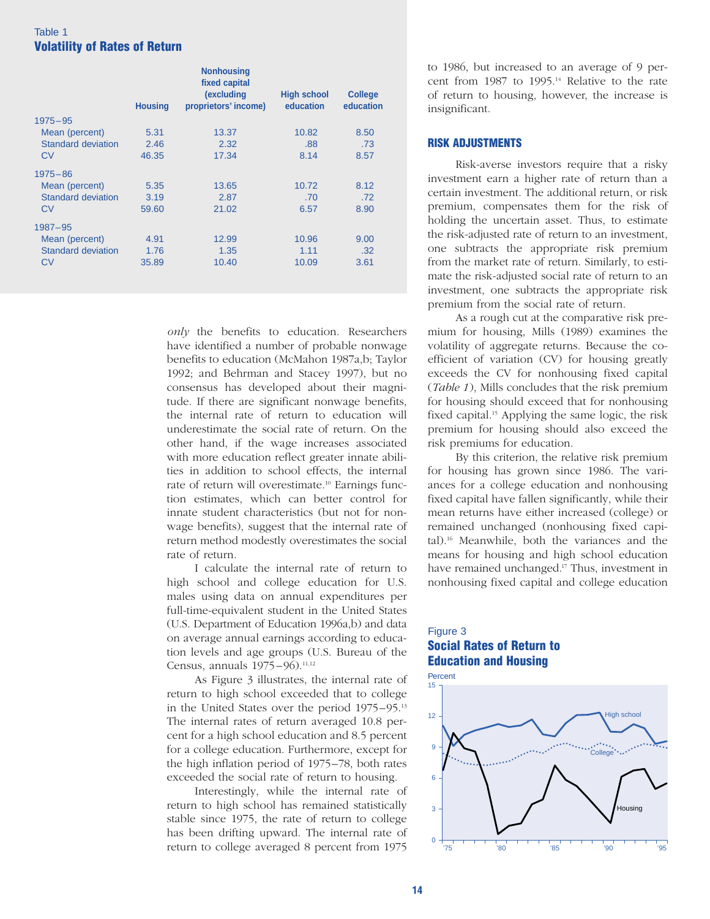# Table 1 Volatility of Rates of Return

|                           |                | <b>Nonhousing</b><br>fixed capital |                                 |                             |
|---------------------------|----------------|------------------------------------|---------------------------------|-----------------------------|
|                           | <b>Housing</b> | (excluding<br>proprietors' income) | <b>High school</b><br>education | <b>College</b><br>education |
| $1975 - 95$               |                |                                    |                                 |                             |
| Mean (percent)            | 5.31           | 13.37                              | 10.82                           | 8.50                        |
| Standard deviation        | 2.46           | 2.32                               | .88                             | .73                         |
| CV                        | 46.35          | 17.34                              | 8.14                            | 8.57                        |
| $1975 - 86$               |                |                                    |                                 |                             |
| Mean (percent)            | 5.35           | 13.65                              | 10.72                           | 8.12                        |
| <b>Standard deviation</b> | 3.19           | 2.87                               | .70                             | .72                         |
| CV                        | 59.60          | 21.02                              | 6.57                            | 8.90                        |
| $1987 - 95$               |                |                                    |                                 |                             |
| Mean (percent)            | 4.91           | 12.99                              | 10.96                           | 9.00                        |
| Standard deviation        | 1.76           | 1.35                               | 1.11                            | .32                         |
| CV                        | 35.89          | 10.40                              | 10.09                           | 3.61                        |

*only* the benefits to education. Researchers have identified a number of probable nonwage benefits to education (McMahon 1987a,b; Taylor 1992; and Behrman and Stacey 1997), but no consensus has developed about their magnitude. If there are significant nonwage benefits, the internal rate of return to education will underestimate the social rate of return. On the other hand, if the wage increases associated with more education reflect greater innate abilities in addition to school effects, the internal rate of return will overestimate.<sup>10</sup> Earnings function estimates, which can better control for innate student characteristics (but not for nonwage benefits), suggest that the internal rate of return method modestly overestimates the social rate of return.

I calculate the internal rate of return to high school and college education for U.S. males using data on annual expenditures per full-time-equivalent student in the United States (U.S. Department of Education 1996a,b) and data on average annual earnings according to education levels and age groups (U.S. Bureau of the Census, annuals  $1975 - 96$ ).<sup>11,12</sup>

As Figure 3 illustrates, the internal rate of return to high school exceeded that to college in the United States over the period 1975–95.13 The internal rates of return averaged 10.8 percent for a high school education and 8.5 percent for a college education. Furthermore, except for the high inflation period of 1975–78, both rates exceeded the social rate of return to housing.

Interestingly, while the internal rate of return to high school has remained statistically stable since 1975, the rate of return to college has been drifting upward. The internal rate of return to college averaged 8 percent from 1975

to 1986, but increased to an average of 9 percent from 1987 to 1995.<sup>14</sup> Relative to the rate of return to housing, however, the increase is insignificant.

## RISK ADJUSTMENTS

Risk-averse investors require that a risky investment earn a higher rate of return than a certain investment. The additional return, or risk premium, compensates them for the risk of holding the uncertain asset. Thus, to estimate the risk-adjusted rate of return to an investment, one subtracts the appropriate risk premium from the market rate of return. Similarly, to estimate the risk-adjusted social rate of return to an investment, one subtracts the appropriate risk premium from the social rate of return.

As a rough cut at the comparative risk premium for housing, Mills (1989) examines the volatility of aggregate returns. Because the coefficient of variation (CV) for housing greatly exceeds the CV for nonhousing fixed capital (*Table 1*), Mills concludes that the risk premium for housing should exceed that for nonhousing fixed capital.15 Applying the same logic, the risk premium for housing should also exceed the risk premiums for education.

By this criterion, the relative risk premium for housing has grown since 1986. The variances for a college education and nonhousing fixed capital have fallen significantly, while their mean returns have either increased (college) or remained unchanged (nonhousing fixed capital).16 Meanwhile, both the variances and the means for housing and high school education have remained unchanged.<sup>17</sup> Thus, investment in nonhousing fixed capital and college education

# Figure 3 Social Rates of Return to Education and Housing

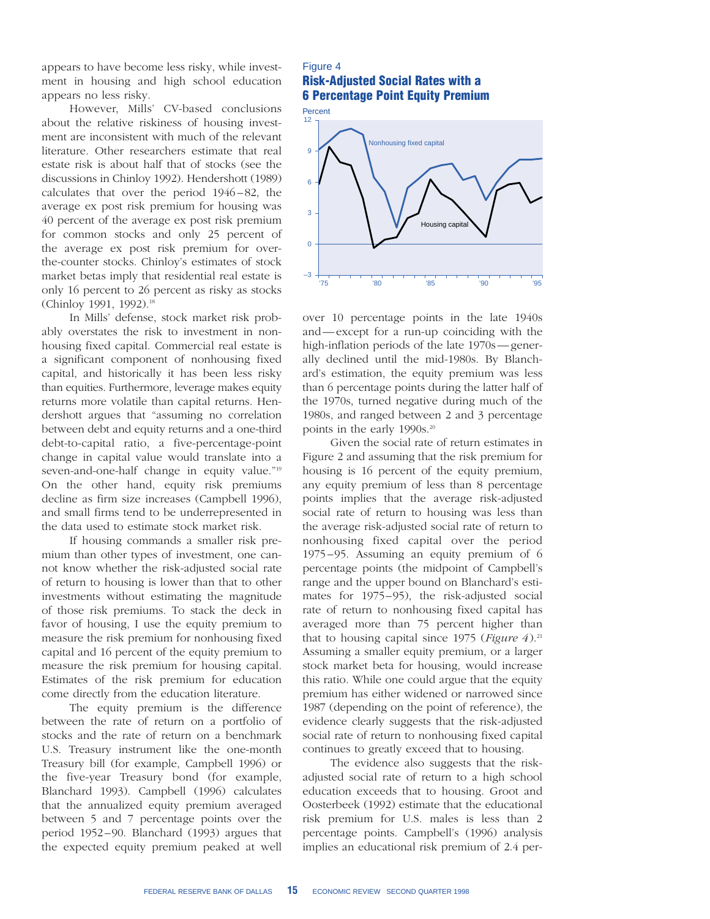appears to have become less risky, while investment in housing and high school education appears no less risky.

However, Mills' CV-based conclusions about the relative riskiness of housing investment are inconsistent with much of the relevant literature. Other researchers estimate that real estate risk is about half that of stocks (see the discussions in Chinloy 1992). Hendershott (1989) calculates that over the period 1946 – 82, the average ex post risk premium for housing was 40 percent of the average ex post risk premium for common stocks and only 25 percent of the average ex post risk premium for overthe-counter stocks. Chinloy's estimates of stock market betas imply that residential real estate is only 16 percent to 26 percent as risky as stocks (Chinloy 1991, 1992).<sup>18</sup>

In Mills' defense, stock market risk probably overstates the risk to investment in nonhousing fixed capital. Commercial real estate is a significant component of nonhousing fixed capital, and historically it has been less risky than equities. Furthermore, leverage makes equity returns more volatile than capital returns. Hendershott argues that "assuming no correlation between debt and equity returns and a one-third debt-to-capital ratio, a five-percentage-point change in capital value would translate into a seven-and-one-half change in equity value."19 On the other hand, equity risk premiums decline as firm size increases (Campbell 1996), and small firms tend to be underrepresented in the data used to estimate stock market risk.

If housing commands a smaller risk premium than other types of investment, one cannot know whether the risk-adjusted social rate of return to housing is lower than that to other investments without estimating the magnitude of those risk premiums. To stack the deck in favor of housing, I use the equity premium to measure the risk premium for nonhousing fixed capital and 16 percent of the equity premium to measure the risk premium for housing capital. Estimates of the risk premium for education come directly from the education literature.

The equity premium is the difference between the rate of return on a portfolio of stocks and the rate of return on a benchmark U.S. Treasury instrument like the one-month Treasury bill (for example, Campbell 1996) or the five-year Treasury bond (for example, Blanchard 1993). Campbell (1996) calculates that the annualized equity premium averaged between 5 and 7 percentage points over the period 1952 –90. Blanchard (1993) argues that the expected equity premium peaked at well

# Figure 4 Risk-Adjusted Social Rates with a 6 Percentage Point Equity Premium



over 10 percentage points in the late 1940s and—except for a run-up coinciding with the high-inflation periods of the late 1970s—generally declined until the mid-1980s. By Blanchard's estimation, the equity premium was less than 6 percentage points during the latter half of the 1970s, turned negative during much of the 1980s, and ranged between 2 and 3 percentage points in the early 1990s.<sup>20</sup>

Given the social rate of return estimates in Figure 2 and assuming that the risk premium for housing is 16 percent of the equity premium, any equity premium of less than 8 percentage points implies that the average risk-adjusted social rate of return to housing was less than the average risk-adjusted social rate of return to nonhousing fixed capital over the period 1975 –95. Assuming an equity premium of 6 percentage points (the midpoint of Campbell's range and the upper bound on Blanchard's estimates for 1975–95), the risk-adjusted social rate of return to nonhousing fixed capital has averaged more than 75 percent higher than that to housing capital since  $1975$  (*Figure 4*).<sup>21</sup> Assuming a smaller equity premium, or a larger stock market beta for housing, would increase this ratio. While one could argue that the equity premium has either widened or narrowed since 1987 (depending on the point of reference), the evidence clearly suggests that the risk-adjusted social rate of return to nonhousing fixed capital continues to greatly exceed that to housing.

The evidence also suggests that the riskadjusted social rate of return to a high school education exceeds that to housing. Groot and Oosterbeek (1992) estimate that the educational risk premium for U.S. males is less than 2 percentage points. Campbell's (1996) analysis implies an educational risk premium of 2.4 per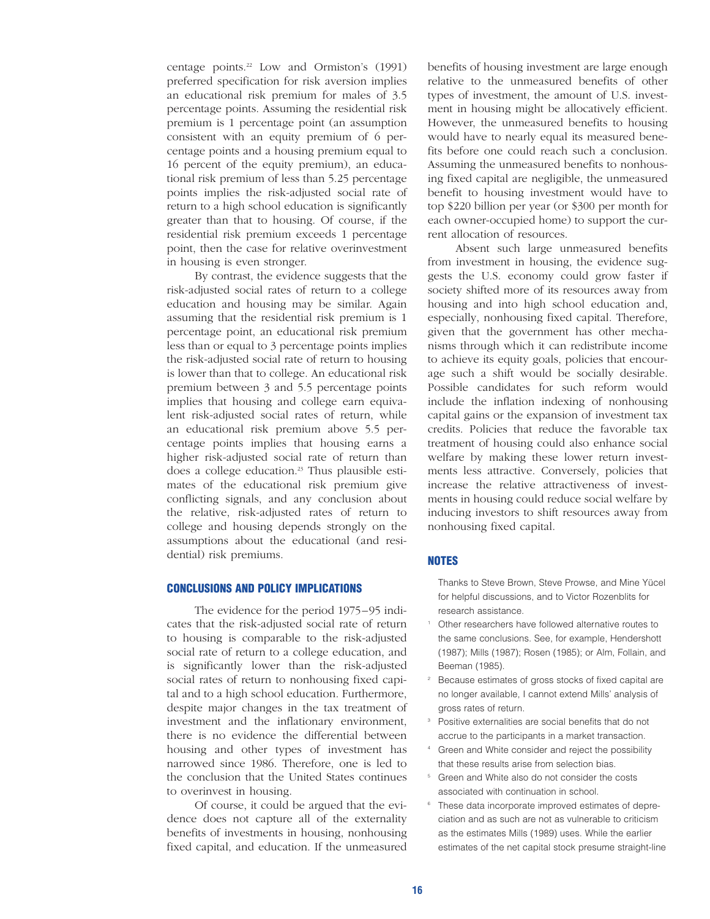centage points.22 Low and Ormiston's (1991) preferred specification for risk aversion implies an educational risk premium for males of 3.5 percentage points. Assuming the residential risk premium is 1 percentage point (an assumption consistent with an equity premium of 6 percentage points and a housing premium equal to 16 percent of the equity premium), an educational risk premium of less than 5.25 percentage points implies the risk-adjusted social rate of return to a high school education is significantly greater than that to housing. Of course, if the residential risk premium exceeds 1 percentage point, then the case for relative overinvestment in housing is even stronger.

By contrast, the evidence suggests that the risk-adjusted social rates of return to a college education and housing may be similar. Again assuming that the residential risk premium is 1 percentage point, an educational risk premium less than or equal to 3 percentage points implies the risk-adjusted social rate of return to housing is lower than that to college. An educational risk premium between 3 and 5.5 percentage points implies that housing and college earn equivalent risk-adjusted social rates of return, while an educational risk premium above 5.5 percentage points implies that housing earns a higher risk-adjusted social rate of return than does a college education.<sup>23</sup> Thus plausible estimates of the educational risk premium give conflicting signals, and any conclusion about the relative, risk-adjusted rates of return to college and housing depends strongly on the assumptions about the educational (and residential) risk premiums.

#### CONCLUSIONS AND POLICY IMPLICATIONS

The evidence for the period 1975–95 indicates that the risk-adjusted social rate of return to housing is comparable to the risk-adjusted social rate of return to a college education, and is significantly lower than the risk-adjusted social rates of return to nonhousing fixed capital and to a high school education. Furthermore, despite major changes in the tax treatment of investment and the inflationary environment, there is no evidence the differential between housing and other types of investment has narrowed since 1986. Therefore, one is led to the conclusion that the United States continues to overinvest in housing.

Of course, it could be argued that the evidence does not capture all of the externality benefits of investments in housing, nonhousing fixed capital, and education. If the unmeasured

benefits of housing investment are large enough relative to the unmeasured benefits of other types of investment, the amount of U.S. investment in housing might be allocatively efficient. However, the unmeasured benefits to housing would have to nearly equal its measured benefits before one could reach such a conclusion. Assuming the unmeasured benefits to nonhousing fixed capital are negligible, the unmeasured benefit to housing investment would have to top \$220 billion per year (or \$300 per month for each owner-occupied home) to support the current allocation of resources.

Absent such large unmeasured benefits from investment in housing, the evidence suggests the U.S. economy could grow faster if society shifted more of its resources away from housing and into high school education and, especially, nonhousing fixed capital. Therefore, given that the government has other mechanisms through which it can redistribute income to achieve its equity goals, policies that encourage such a shift would be socially desirable. Possible candidates for such reform would include the inflation indexing of nonhousing capital gains or the expansion of investment tax credits. Policies that reduce the favorable tax treatment of housing could also enhance social welfare by making these lower return investments less attractive. Conversely, policies that increase the relative attractiveness of investments in housing could reduce social welfare by inducing investors to shift resources away from nonhousing fixed capital.

## NOTES

Thanks to Steve Brown, Steve Prowse, and Mine Yücel for helpful discussions, and to Victor Rozenblits for research assistance.

- Other researchers have followed alternative routes to the same conclusions. See, for example, Hendershott (1987); Mills (1987); Rosen (1985); or Alm, Follain, and Beeman (1985).
- <sup>2</sup> Because estimates of gross stocks of fixed capital are no longer available, I cannot extend Mills' analysis of gross rates of return.
- <sup>3</sup> Positive externalities are social benefits that do not accrue to the participants in a market transaction.
- Green and White consider and reject the possibility that these results arise from selection bias.
- <sup>5</sup> Green and White also do not consider the costs associated with continuation in school.
- <sup>6</sup> These data incorporate improved estimates of depreciation and as such are not as vulnerable to criticism as the estimates Mills (1989) uses. While the earlier estimates of the net capital stock presume straight-line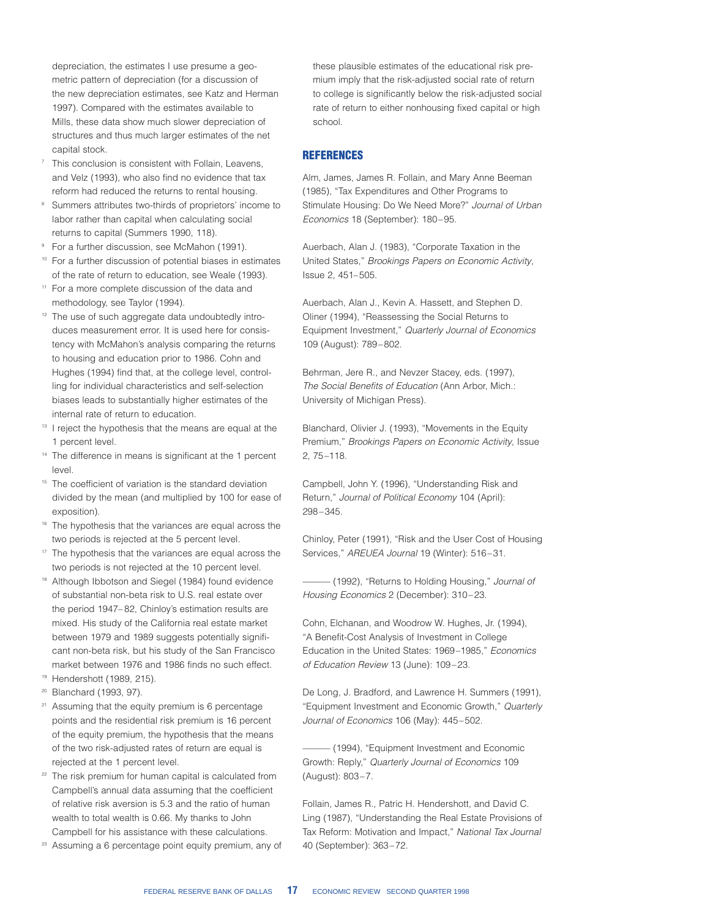depreciation, the estimates I use presume a geometric pattern of depreciation (for a discussion of the new depreciation estimates, see Katz and Herman 1997). Compared with the estimates available to Mills, these data show much slower depreciation of structures and thus much larger estimates of the net capital stock.

- This conclusion is consistent with Follain, Leavens, and Velz (1993), who also find no evidence that tax reform had reduced the returns to rental housing.
- Summers attributes two-thirds of proprietors' income to labor rather than capital when calculating social returns to capital (Summers 1990, 118).
- For a further discussion, see McMahon (1991).
- <sup>10</sup> For a further discussion of potential biases in estimates of the rate of return to education, see Weale (1993).
- <sup>11</sup> For a more complete discussion of the data and methodology, see Taylor (1994).
- <sup>12</sup> The use of such aggregate data undoubtedly introduces measurement error. It is used here for consistency with McMahon's analysis comparing the returns to housing and education prior to 1986. Cohn and Hughes (1994) find that, at the college level, controlling for individual characteristics and self-selection biases leads to substantially higher estimates of the internal rate of return to education.
- <sup>13</sup> I reject the hypothesis that the means are equal at the 1 percent level.
- <sup>14</sup> The difference in means is significant at the 1 percent level.
- <sup>15</sup> The coefficient of variation is the standard deviation divided by the mean (and multiplied by 100 for ease of exposition).
- <sup>16</sup> The hypothesis that the variances are equal across the two periods is rejected at the 5 percent level.
- <sup>17</sup> The hypothesis that the variances are equal across the two periods is not rejected at the 10 percent level.
- 18 Although Ibbotson and Siegel (1984) found evidence of substantial non-beta risk to U.S. real estate over the period 1947– 82, Chinloy's estimation results are mixed. His study of the California real estate market between 1979 and 1989 suggests potentially significant non-beta risk, but his study of the San Francisco market between 1976 and 1986 finds no such effect.
- <sup>19</sup> Hendershott (1989, 215).
- <sup>20</sup> Blanchard (1993, 97).
- <sup>21</sup> Assuming that the equity premium is 6 percentage points and the residential risk premium is 16 percent of the equity premium, the hypothesis that the means of the two risk-adjusted rates of return are equal is rejected at the 1 percent level.
- $22$  The risk premium for human capital is calculated from Campbell's annual data assuming that the coefficient of relative risk aversion is 5.3 and the ratio of human wealth to total wealth is 0.66. My thanks to John Campbell for his assistance with these calculations.
- <sup>23</sup> Assuming a 6 percentage point equity premium, any of

these plausible estimates of the educational risk premium imply that the risk-adjusted social rate of return to college is significantly below the risk-adjusted social rate of return to either nonhousing fixed capital or high school.

#### **REFERENCES**

Alm, James, James R. Follain, and Mary Anne Beeman (1985), "Tax Expenditures and Other Programs to Stimulate Housing: Do We Need More?" Journal of Urban Economics 18 (September): 180–95.

Auerbach, Alan J. (1983), "Corporate Taxation in the United States," Brookings Papers on Economic Activity, Issue 2, 451–505.

Auerbach, Alan J., Kevin A. Hassett, and Stephen D. Oliner (1994), "Reassessing the Social Returns to Equipment Investment," Quarterly Journal of Economics 109 (August): 789–802.

Behrman, Jere R., and Nevzer Stacey, eds. (1997), The Social Benefits of Education (Ann Arbor, Mich.: University of Michigan Press).

Blanchard, Olivier J. (1993), "Movements in the Equity Premium," Brookings Papers on Economic Activity, Issue 2, 75–118.

Campbell, John Y. (1996), "Understanding Risk and Return," Journal of Political Economy 104 (April): 298–345.

Chinloy, Peter (1991), "Risk and the User Cost of Housing Services," AREUEA Journal 19 (Winter): 516–31.

- (1992), "Returns to Holding Housing," Journal of Housing Economics 2 (December): 310–23.

Cohn, Elchanan, and Woodrow W. Hughes, Jr. (1994), "A Benefit-Cost Analysis of Investment in College Education in the United States: 1969–1985," Economics of Education Review 13 (June): 109–23.

De Long, J. Bradford, and Lawrence H. Summers (1991), "Equipment Investment and Economic Growth," Quarterly Journal of Economics 106 (May): 445–502.

 $-$  (1994), "Equipment Investment and Economic Growth: Reply," Quarterly Journal of Economics 109 (August): 803–7.

Follain, James R., Patric H. Hendershott, and David C. Ling (1987), "Understanding the Real Estate Provisions of Tax Reform: Motivation and Impact," National Tax Journal 40 (September): 363–72.